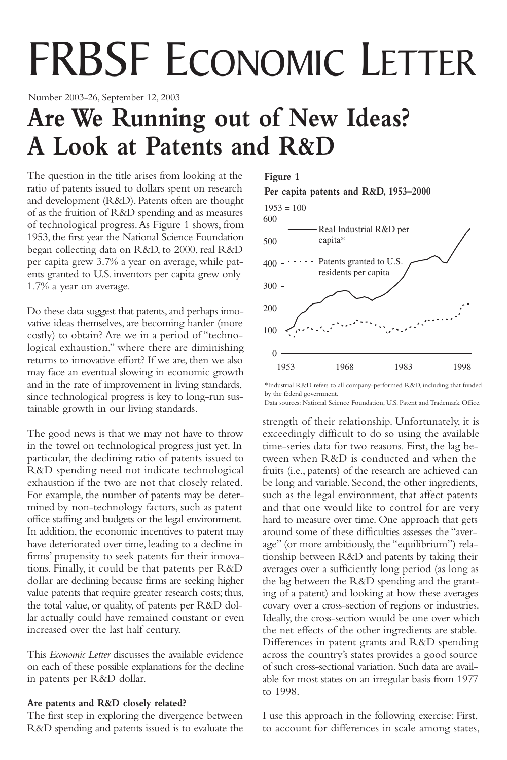# FRBSF ECONOMIC LETTER

Number 2003-26, September 12, 2003

# **Are We Running out of New Ideas? A Look at Patents and R&D**

The question in the title arises from looking at the ratio of patents issued to dollars spent on research and development (R&D). Patents often are thought of as the fruition of R&D spending and as measures of technological progress.As Figure 1 shows, from 1953, the first year the National Science Foundation began collecting data on R&D, to 2000, real R&D per capita grew 3.7% a year on average, while patents granted to U.S. inventors per capita grew only 1.7% a year on average.

Do these data suggest that patents, and perhaps innovative ideas themselves, are becoming harder (more costly) to obtain? Are we in a period of "technological exhaustion," where there are diminishing returns to innovative effort? If we are, then we also may face an eventual slowing in economic growth and in the rate of improvement in living standards, since technological progress is key to long-run sustainable growth in our living standards.

The good news is that we may not have to throw in the towel on technological progress just yet. In particular, the declining ratio of patents issued to R&D spending need not indicate technological exhaustion if the two are not that closely related. For example, the number of patents may be determined by non-technology factors, such as patent office staffing and budgets or the legal environment. In addition, the economic incentives to patent may have deteriorated over time, leading to a decline in firms' propensity to seek patents for their innovations. Finally, it could be that patents per R&D dollar are declining because firms are seeking higher value patents that require greater research costs; thus, the total value, or quality, of patents per R&D dollar actually could have remained constant or even increased over the last half century.

This *Economic Letter* discusses the available evidence on each of these possible explanations for the decline in patents per R&D dollar.

# **Are patents and R&D closely related?**

The first step in exploring the divergence between R&D spending and patents issued is to evaluate the

# **Figure 1**

**Per capita patents and R&D, 1953–2000**



<sup>\*</sup>Industrial R&D refers to all company-performed R&D, including that funded by the federal government.

Data sources: National Science Foundation, U.S. Patent and Trademark Office.

strength of their relationship. Unfortunately, it is exceedingly difficult to do so using the available time-series data for two reasons. First, the lag between when R&D is conducted and when the fruits (i.e., patents) of the research are achieved can be long and variable. Second, the other ingredients, such as the legal environment, that affect patents and that one would like to control for are very hard to measure over time. One approach that gets around some of these difficulties assesses the "average" (or more ambitiously, the "equilibrium") relationship between R&D and patents by taking their averages over a sufficiently long period (as long as the lag between the R&D spending and the granting of a patent) and looking at how these averages covary over a cross-section of regions or industries. Ideally, the cross-section would be one over which the net effects of the other ingredients are stable. Differences in patent grants and R&D spending across the country's states provides a good source of such cross-sectional variation. Such data are available for most states on an irregular basis from 1977 to 1998.

I use this approach in the following exercise: First, to account for differences in scale among states,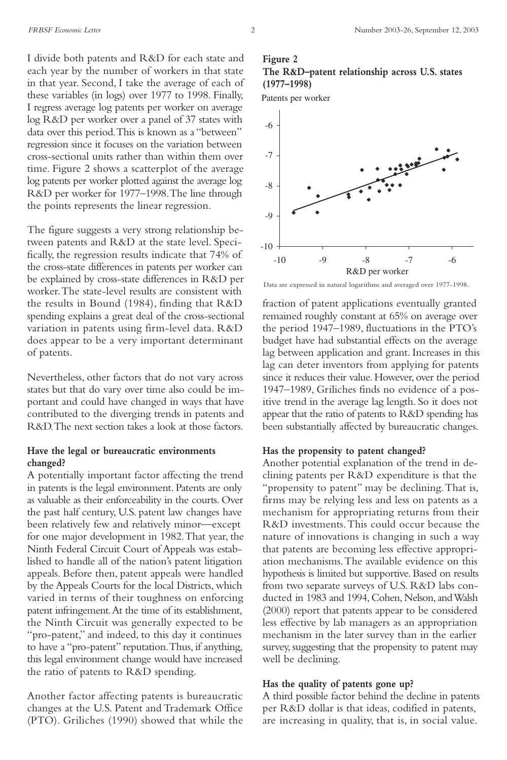I divide both patents and R&D for each state and each year by the number of workers in that state in that year. Second, I take the average of each of these variables (in logs) over 1977 to 1998. Finally, I regress average log patents per worker on average log R&D per worker over a panel of 37 states with data over this period.This is known as a "between" regression since it focuses on the variation between cross-sectional units rather than within them over time. Figure 2 shows a scatterplot of the average log patents per worker plotted against the average log R&D per worker for 1977–1998.The line through the points represents the linear regression.

The figure suggests a very strong relationship between patents and R&D at the state level. Specifically, the regression results indicate that 74% of the cross-state differences in patents per worker can be explained by cross-state differences in R&D per worker.The state-level results are consistent with the results in Bound (1984), finding that R&D spending explains a great deal of the cross-sectional variation in patents using firm-level data. R&D does appear to be a very important determinant of patents.

Nevertheless, other factors that do not vary across states but that do vary over time also could be important and could have changed in ways that have contributed to the diverging trends in patents and R&D.The next section takes a look at those factors.

#### **Have the legal or bureaucratic environments changed?**

A potentially important factor affecting the trend in patents is the legal environment. Patents are only as valuable as their enforceability in the courts. Over the past half century, U.S. patent law changes have been relatively few and relatively minor—except for one major development in 1982.That year, the Ninth Federal Circuit Court of Appeals was established to handle all of the nation's patent litigation appeals. Before then, patent appeals were handled by the Appeals Courts for the local Districts, which varied in terms of their toughness on enforcing patent infringement.At the time of its establishment, the Ninth Circuit was generally expected to be "pro-patent," and indeed, to this day it continues to have a "pro-patent" reputation.Thus, if anything, this legal environment change would have increased the ratio of patents to R&D spending.

Another factor affecting patents is bureaucratic changes at the U.S. Patent and Trademark Office (PTO). Griliches (1990) showed that while the

### **Figure 2 The R&D–patent relationship across U.S. states (1977–1998)**

Patents per worker



Data are expressed in natural logarithms and averaged over 1977-1998.

fraction of patent applications eventually granted remained roughly constant at 65% on average over the period 1947–1989, fluctuations in the PTO's budget have had substantial effects on the average lag between application and grant. Increases in this lag can deter inventors from applying for patents since it reduces their value. However, over the period 1947–1989, Griliches finds no evidence of a positive trend in the average lag length. So it does not appear that the ratio of patents to R&D spending has been substantially affected by bureaucratic changes.

#### **Has the propensity to patent changed?**

Another potential explanation of the trend in declining patents per R&D expenditure is that the "propensity to patent" may be declining.That is, firms may be relying less and less on patents as a mechanism for appropriating returns from their R&D investments.This could occur because the nature of innovations is changing in such a way that patents are becoming less effective appropriation mechanisms.The available evidence on this hypothesis is limited but supportive. Based on results from two separate surveys of U.S. R&D labs conducted in 1983 and 1994, Cohen, Nelson, and Walsh (2000) report that patents appear to be considered less effective by lab managers as an appropriation mechanism in the later survey than in the earlier survey, suggesting that the propensity to patent may well be declining.

#### **Has the quality of patents gone up?**

A third possible factor behind the decline in patents per R&D dollar is that ideas, codified in patents, are increasing in quality, that is, in social value.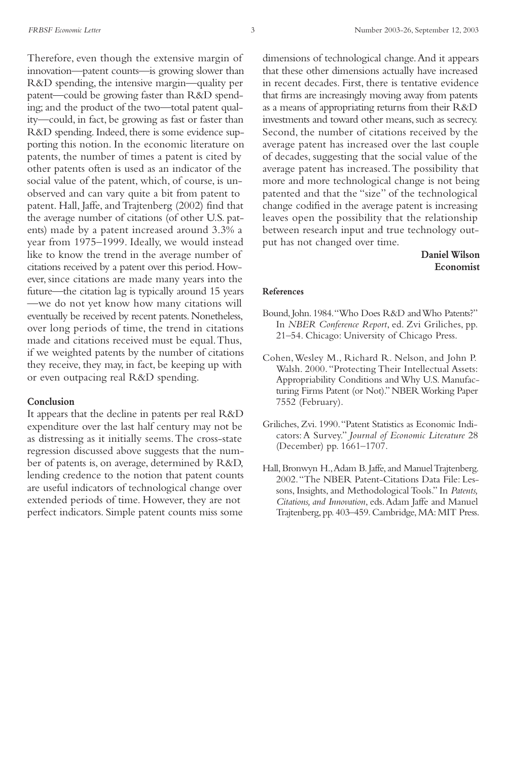Therefore, even though the extensive margin of innovation—patent counts—is growing slower than R&D spending, the intensive margin—quality per patent—could be growing faster than R&D spending; and the product of the two—total patent quality—could, in fact, be growing as fast or faster than R&D spending. Indeed, there is some evidence supporting this notion. In the economic literature on patents, the number of times a patent is cited by other patents often is used as an indicator of the social value of the patent, which, of course, is unobserved and can vary quite a bit from patent to patent. Hall, Jaffe, and Trajtenberg (2002) find that the average number of citations (of other U.S. patents) made by a patent increased around 3.3% a year from 1975–1999. Ideally, we would instead like to know the trend in the average number of citations received by a patent over this period. However, since citations are made many years into the future—the citation lag is typically around 15 years —we do not yet know how many citations will eventually be received by recent patents.Nonetheless, over long periods of time, the trend in citations made and citations received must be equal.Thus, if we weighted patents by the number of citations they receive, they may, in fact, be keeping up with or even outpacing real R&D spending.

#### **Conclusion**

It appears that the decline in patents per real R&D expenditure over the last half century may not be as distressing as it initially seems.The cross-state regression discussed above suggests that the number of patents is, on average, determined by R&D, lending credence to the notion that patent counts are useful indicators of technological change over extended periods of time. However, they are not perfect indicators. Simple patent counts miss some

dimensions of technological change.And it appears that these other dimensions actually have increased in recent decades. First, there is tentative evidence that firms are increasingly moving away from patents as a means of appropriating returns from their R&D investments and toward other means, such as secrecy. Second, the number of citations received by the average patent has increased over the last couple of decades, suggesting that the social value of the average patent has increased.The possibility that more and more technological change is not being patented and that the "size" of the technological change codified in the average patent is increasing leaves open the possibility that the relationship between research input and true technology output has not changed over time.

# **Daniel Wilson Economist**

#### **References**

- Bound, John. 1984. "Who Does R&D and Who Patents?" In *NBER Conference Report*, ed. Zvi Griliches, pp. 21–54. Chicago: University of Chicago Press.
- Cohen,Wesley M., Richard R. Nelson, and John P. Walsh. 2000."Protecting Their Intellectual Assets: Appropriability Conditions and Why U.S. Manufacturing Firms Patent (or Not)." NBER Working Paper 7552 (February).
- Griliches, Zvi. 1990."Patent Statistics as Economic Indicators: A Survey." *Journal of Economic Literature* 28 (December) pp. 1661–1707.
- Hall, Bronwyn H.,Adam B. Jaffe, and Manuel Trajtenberg. 2002."The NBER Patent-Citations Data File: Lessons, Insights, and Methodological Tools." In *Patents, Citations, and Innovation*, eds.Adam Jaffe and Manuel Trajtenberg, pp. 403–459. Cambridge, MA: MIT Press.